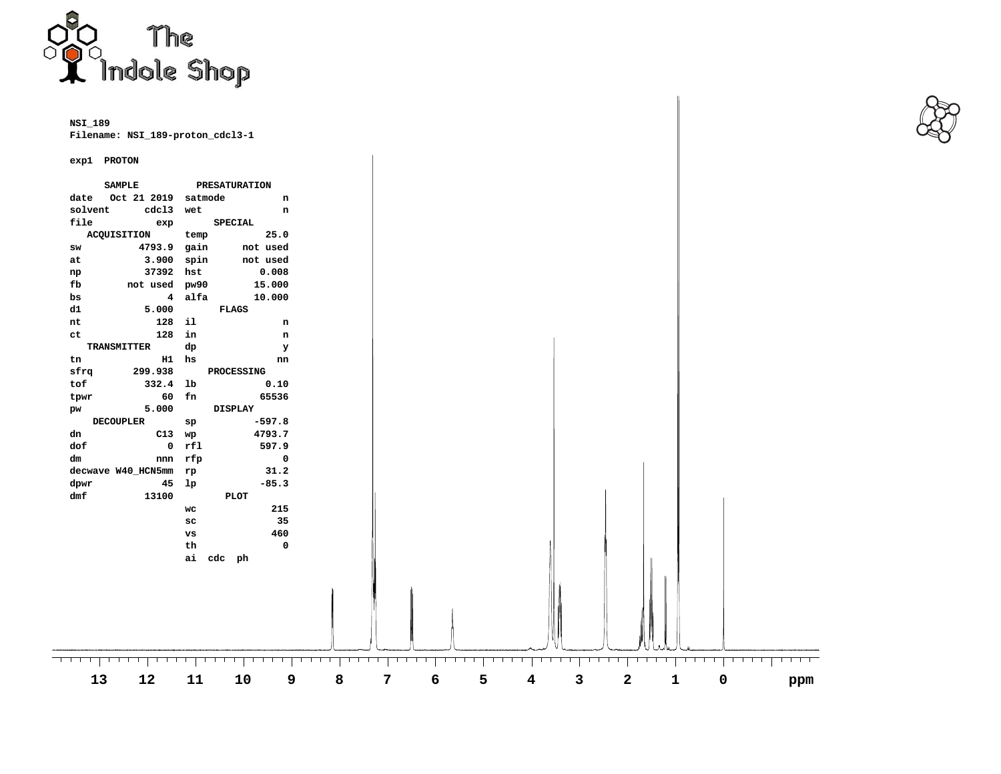

**NSI\_189 Filename: NSI\_189-proton\_cdcl3-1**

## **exp1 PROTON**

|                  | exp1 PROTON         |                |                       |         |                      |         |              |     |           |   |           |                                    |         |
|------------------|---------------------|----------------|-----------------------|---------|----------------------|---------|--------------|-----|-----------|---|-----------|------------------------------------|---------|
|                  | <b>SAMPLE</b>       |                | <b>PRESATURATION</b>  |         |                      |         |              |     |           |   |           |                                    |         |
| date             | Oct 21 2019 satmode |                | n                     |         |                      |         |              |     |           |   |           |                                    |         |
| solvent          | cdc13               | wet            | n                     |         |                      |         |              |     |           |   |           |                                    |         |
| file<br>exp      |                     | <b>SPECIAL</b> |                       |         |                      |         |              |     |           |   |           |                                    |         |
|                  | <b>ACQUISITION</b>  | temp           | 25.0                  |         |                      |         |              |     |           |   |           |                                    |         |
| SW               | 4793.9              | gain           | not used              |         |                      |         |              |     |           |   |           |                                    |         |
| at               | 3.900               | spin           | not used              |         |                      |         |              |     |           |   |           |                                    |         |
| np               | 37392               | hst            | 0.008                 |         |                      |         |              |     |           |   |           |                                    |         |
| fb               | not used            | pw90           | 15.000                |         |                      |         |              |     |           |   |           |                                    |         |
| bs               | 4                   | alfa           | 10.000                |         |                      |         |              |     |           |   |           |                                    |         |
| d1               | 5.000               |                | <b>FLAGS</b>          |         |                      |         |              |     |           |   |           |                                    |         |
| nt               | 128                 | il             | n                     |         |                      |         |              |     |           |   |           |                                    |         |
| ct               | 128                 | in             | $\mathsf{n}$          |         |                      |         |              |     |           |   |           |                                    |         |
|                  | TRANSMITTER         | dp             | У                     |         |                      |         |              |     |           |   |           |                                    |         |
| tn               | $H1$ hs             |                | nn                    |         |                      |         |              |     |           |   |           |                                    |         |
| sfrq             | 299.938             |                | <b>PROCESSING</b>     |         |                      |         |              |     |           |   |           |                                    |         |
| tof              | 332.4               | 1 <sub>b</sub> | 0.10                  |         |                      |         |              |     |           |   |           |                                    |         |
| tpwr             | 60 fn               |                | 65536                 |         |                      |         |              |     |           |   |           |                                    |         |
| pw               | 5.000               |                | <b>DISPLAY</b>        |         |                      |         |              |     |           |   |           |                                    |         |
| <b>DECOUPLER</b> |                     | sp             | $-597.8$              |         |                      |         |              |     |           |   |           |                                    |         |
| dn               | C13 wp              |                | 4793.7                |         |                      |         |              |     |           |   |           |                                    |         |
| dof              | $\bullet$           | rf1            | 597.9                 |         |                      |         |              |     |           |   |           |                                    |         |
| dm               | nnn rfp             |                | $\boldsymbol{0}$      |         |                      |         |              |     |           |   |           |                                    |         |
|                  | decwave W40_HCN5mm  | rp             | 31.2                  |         |                      |         |              |     |           |   |           |                                    |         |
| dpwr             | 45                  | 1 <sub>p</sub> | $-85.3$               |         |                      |         |              |     |           |   |           |                                    |         |
| dmf              | 13100               |                | <b>PLOT</b>           |         |                      |         |              |     |           |   |           |                                    |         |
|                  |                     | WC             | 215                   |         |                      |         |              |     |           |   |           |                                    |         |
|                  |                     | ${\sf sc}$     | 35                    |         |                      |         |              |     |           |   |           |                                    |         |
|                  |                     | <b>vs</b>      | 460                   |         |                      |         |              |     |           |   |           |                                    |         |
|                  |                     | th             | $\boldsymbol{\Theta}$ |         |                      |         |              |     |           |   |           |                                    |         |
|                  |                     | ai cdc ph      |                       |         |                      |         |              |     |           |   |           |                                    |         |
|                  |                     |                |                       |         |                      |         |              |     |           |   |           |                                    |         |
|                  |                     |                |                       |         |                      |         |              |     |           |   |           |                                    |         |
|                  |                     |                |                       |         |                      |         |              |     |           |   |           |                                    |         |
|                  |                     |                |                       |         |                      |         |              |     |           |   |           |                                    |         |
|                  |                     |                |                       |         |                      |         |              |     |           |   |           |                                    |         |
|                  |                     |                |                       |         |                      |         |              |     |           |   |           |                                    |         |
|                  |                     |                |                       |         |                      |         |              |     |           |   |           |                                    |         |
| $1$ $1$ $1$ $1$  | $1 \cdot 1 \cdot 1$ | $\mathbf{1}$   |                       | 1 1 1 1 | 1 1 1 1 1<br>1 1 1 1 | 1 1 1 1 | $\mathbf{1}$ | --- | 1 1 1 1 1 |   | TTT 1 1 1 | $1 - 1 - 1 - 1$<br>$1$ $1$ $1$ $1$ | 1 1 1 1 |
|                  | 12<br>13            | 11             | 10<br>9               | 8       | 7                    | 6       | 5            | 4   | 3         | 2 | 1         | 0                                  |         |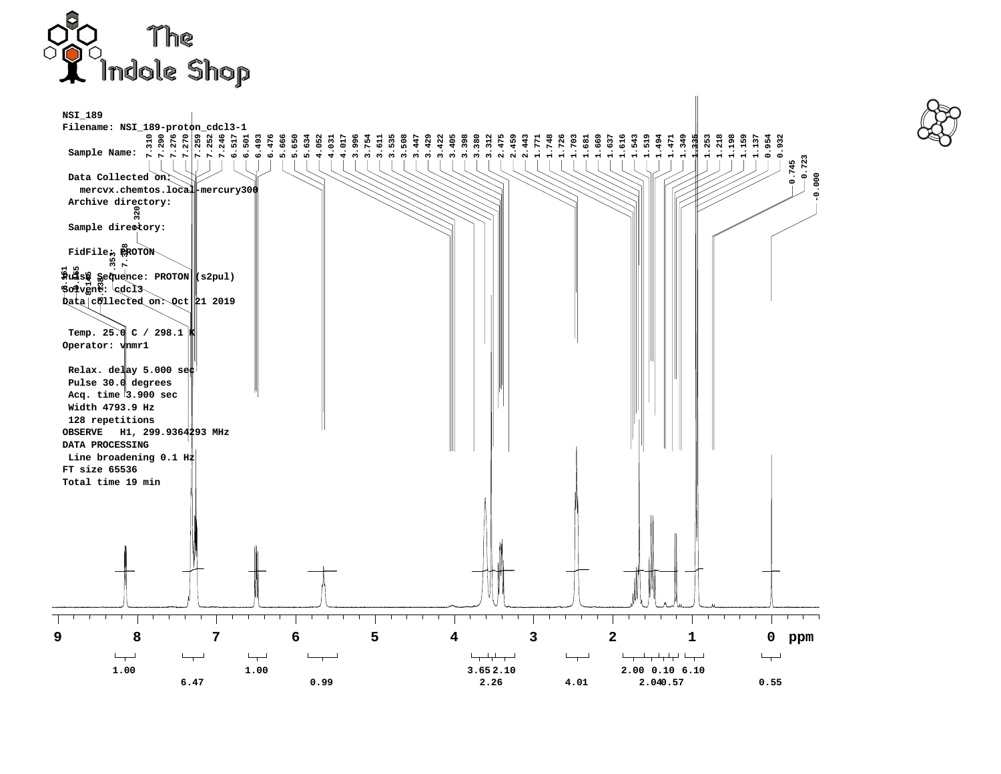